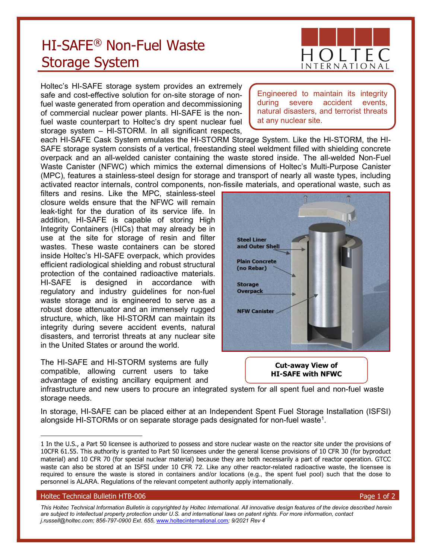## HI-SAFE® Non-Fuel Waste Storage System

Engineered to maintain its integrity during severe accident events, natural disasters, and terrorist threats at any nuclear site.

Holtec's HI-SAFE storage system provides an extremely safe and cost-effective solution for on-site storage of nonfuel waste generated from operation and decommissioning of commercial nuclear power plants. HI-SAFE is the nonfuel waste counterpart to Holtec's dry spent nuclear fuel storage system – HI-STORM. In all significant respects,

each HI-SAFE Cask System emulates the HI-STORM Storage System. Like the HI-STORM, the HI-SAFE storage system consists of a vertical, freestanding steel weldment filled with shielding concrete overpack and an all-welded canister containing the waste stored inside. The all-welded Non-Fuel Waste Canister (NFWC) which mimics the external dimensions of Holtec's Multi-Purpose Canister (MPC), features a stainless-steel design for storage and transport of nearly all waste types, including activated reactor internals, control components, non-fissile materials, and operational waste, such as

filters and resins. Like the MPC, stainless-steel closure welds ensure that the NFWC will remain leak-tight for the duration of its service life. In addition, HI-SAFE is capable of storing High Integrity Containers (HICs) that may already be in use at the site for storage of resin and filter wastes. These waste containers can be stored inside Holtec's HI-SAFE overpack, which provides efficient radiological shielding and robust structural protection of the contained radioactive materials. HI-SAFE is designed in accordance with regulatory and industry guidelines for non-fuel waste storage and is engineered to serve as a robust dose attenuator and an immensely rugged structure, which, like HI-STORM can maintain its integrity during severe accident events, natural disasters, and terrorist threats at any nuclear site in the United States or around the world.

The HI-SAFE and HI-STORM systems are fully compatible, allowing current users to take advantage of existing ancillary equipment and

Steel Liner and Outer Shell **Plain Concrete** (no Rebar) **Storage Overpack NFW Canister** 

> Cut-away View of HI-SAFE with NFWC

infrastructure and new users to procure an integrated system for all spent fuel and non-fuel waste storage needs.

In storage, HI-SAFE can be placed either at an Independent Spent Fuel Storage Installation (ISFSI) alongside HI-STORMs or on separate storage pads designated for non-fuel waste<sup>1</sup>.

## Holtec Technical Bulletin HTB-006 Page 1 of 2

This Holtec Technical Information Bulletin is copyrighted by Holtec International. All innovative design features of the device described herein are subject to intellectual property protection under U.S. and international laws on patent rights. For more information, contact j.russell@holtec.com; 856-797-0900 Ext. 655, www.holtecinternational.com; 9/2021 Rev 4



<sup>1</sup> In the U.S., a Part 50 licensee is authorized to possess and store nuclear waste on the reactor site under the provisions of 10CFR 61.55. This authority is granted to Part 50 licensees under the general license provisions of 10 CFR 30 (for byproduct material) and 10 CFR 70 (for special nuclear material) because they are both necessarily a part of reactor operation. GTCC waste can also be stored at an ISFSI under 10 CFR 72. Like any other reactor-related radioactive waste, the licensee is required to ensure the waste is stored in containers and/or locations (e.g., the spent fuel pool) such that the dose to personnel is ALARA. Regulations of the relevant competent authority apply internationally.